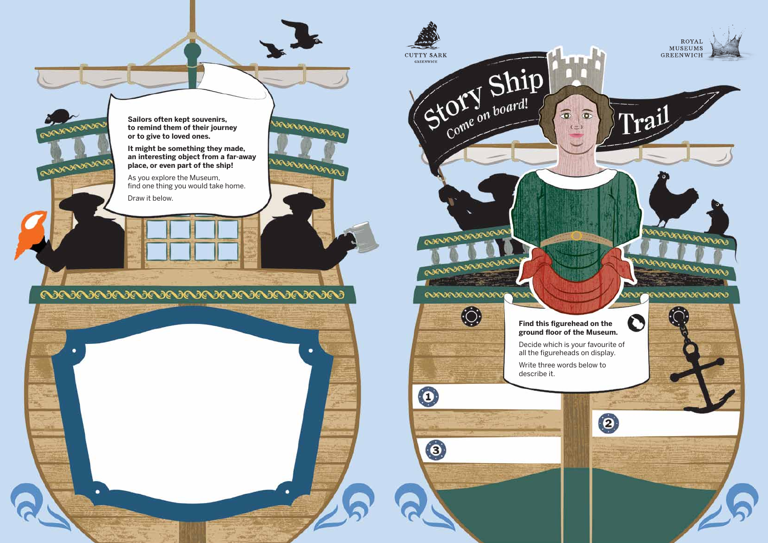**Find this figurehead on the** 

**КЛЗС** 

 $\widehat{\Phi}$ 

**CUTTY SARK** 

Story Ship

RANCHORAGE

**ຎຎຎຎຎຎ** 

 $\mathbf{O}$ 

3

0



Decide which is your favourite of all the figureheads on display.

Write three words below to describe it.

**Sailors often kept souvenirs, to remind them of their journey or to give to loved ones.** 

**It might be something they made, an interesting object from a far-away place, or even part of the ship!**

**UNING ASSAULTED** 

NEWEDEDAMENT

۰

As you explore the Museum, find one thing you would take home.

Draw it below.

CONVENIDAD

RAPARADEVE

۰

##